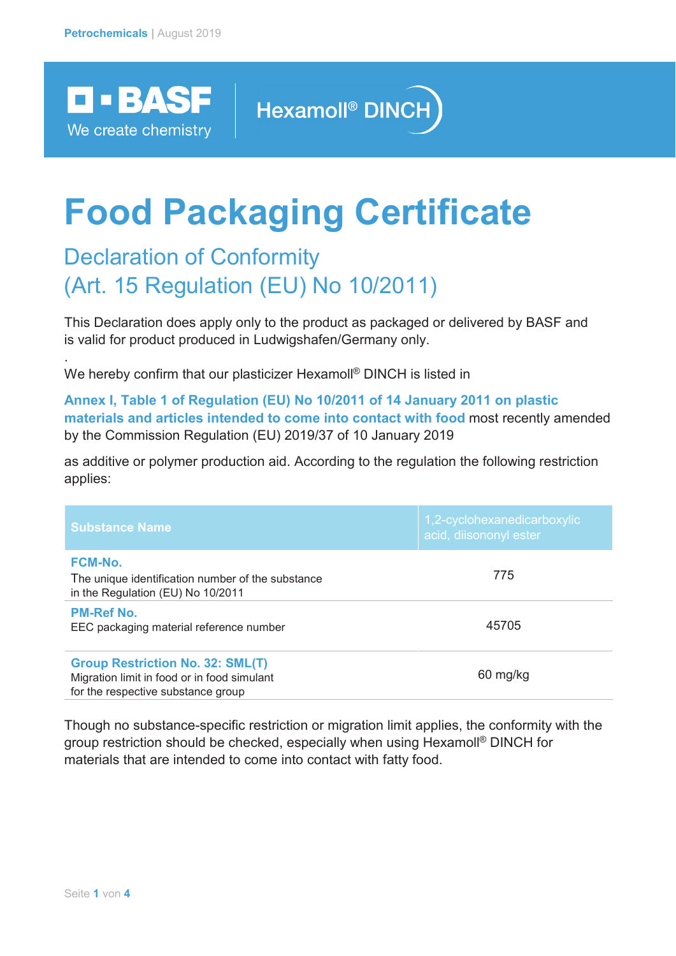

.

## Hexamoll<sup>®</sup> DINCH

# **Food Packaging Certificate**

### Declaration of Conformity (Art. 15 Regulation (EU) No 10/2011)

This Declaration does apply only to the product as packaged or delivered by BASF and is valid for product produced in Ludwigshafen/Germany only.

We hereby confirm that our plasticizer Hexamoll<sup>®</sup> DINCH is listed in

**Annex I, Table 1 of Regulation (EU) No 10/2011 of 14 January 2011 on plastic materials and articles intended to come into contact with food** most recently amended by the Commission Regulation (EU) 2019/37 of 10 January 2019

as additive or polymer production aid. According to the regulation the following restriction applies:

| <b>Substance Name</b>                                                                                                        | 1,2-cyclohexanedicarboxylic<br>acid, diisononyl ester |
|------------------------------------------------------------------------------------------------------------------------------|-------------------------------------------------------|
| <b>FCM-No.</b><br>The unique identification number of the substance<br>in the Regulation (EU) No 10/2011                     | 775                                                   |
| <b>PM-Ref No.</b><br>EEC packaging material reference number                                                                 | 45705                                                 |
| <b>Group Restriction No. 32: SML(T)</b><br>Migration limit in food or in food simulant<br>for the respective substance group | 60 mg/kg                                              |

Though no substance-specific restriction or migration limit applies, the conformity with the group restriction should be checked, especially when using Hexamoll® DINCH for materials that are intended to come into contact with fatty food.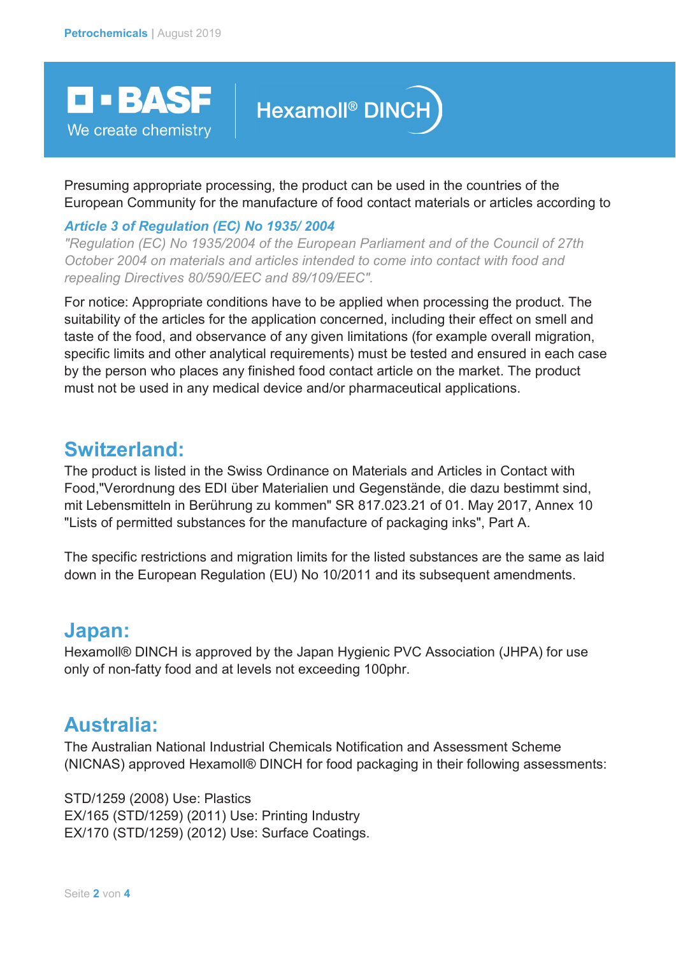**D-BASF** 

We create chemistry

# **Hexamoll<sup>®</sup>** DINCH

Presuming appropriate processing, the product can be used in the countries of the European Community for the manufacture of food contact materials or articles according to

#### *Article 3 of Regulation (EC) No 1935/ 2004*

*"Regulation (EC) No 1935/2004 of the European Parliament and of the Council of 27th October 2004 on materials and articles intended to come into contact with food and repealing Directives 80/590/EEC and 89/109/EEC".*

For notice: Appropriate conditions have to be applied when processing the product. The suitability of the articles for the application concerned, including their effect on smell and taste of the food, and observance of any given limitations (for example overall migration, specific limits and other analytical requirements) must be tested and ensured in each case by the person who places any finished food contact article on the market. The product must not be used in any medical device and/or pharmaceutical applications.

### **Switzerland:**

The product is listed in the Swiss Ordinance on Materials and Articles in Contact with Food,"Verordnung des EDI über Materialien und Gegenstände, die dazu bestimmt sind, mit Lebensmitteln in Berührung zu kommen" SR 817.023.21 of 01. May 2017, Annex 10 "Lists of permitted substances for the manufacture of packaging inks", Part A.

The specific restrictions and migration limits for the listed substances are the same as laid down in the European Regulation (EU) No 10/2011 and its subsequent amendments.

### **Japan:**

Hexamoll® DINCH is approved by the Japan Hygienic PVC Association (JHPA) for use only of non-fatty food and at levels not exceeding 100phr.

### **Australia:**

The Australian National Industrial Chemicals Notification and Assessment Scheme (NICNAS) approved Hexamoll® DINCH for food packaging in their following assessments:

STD/1259 (2008) Use: Plastics EX/165 (STD/1259) (2011) Use: Printing Industry EX/170 (STD/1259) (2012) Use: Surface Coatings.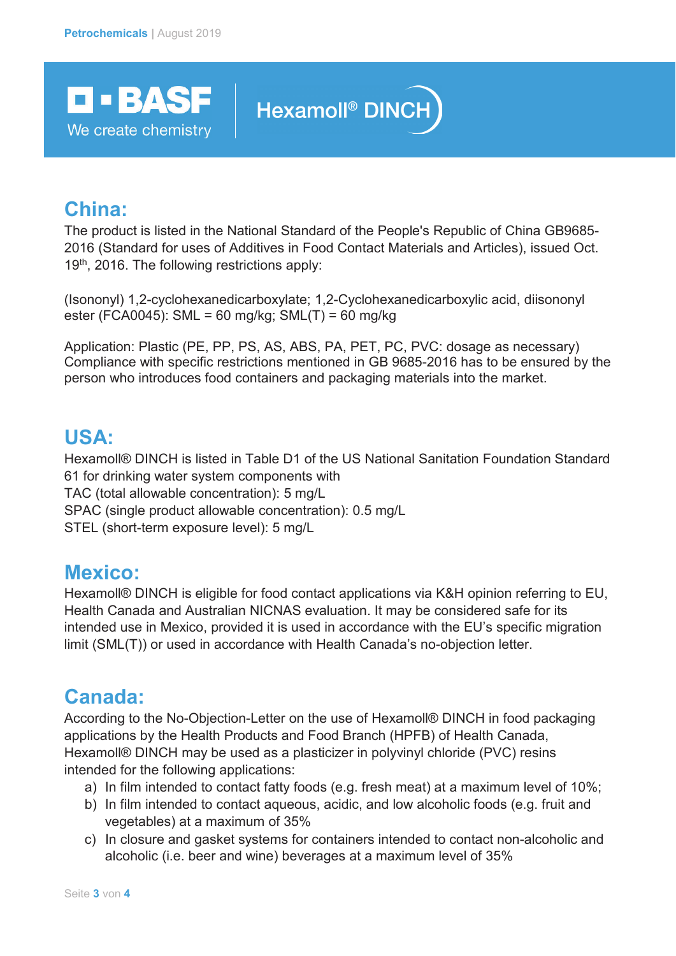

## Hexamoll<sup>®</sup> DINCH

### **China:**

The product is listed in the National Standard of the People's Republic of China GB9685- 2016 (Standard for uses of Additives in Food Contact Materials and Articles), issued Oct.  $19<sup>th</sup>$ , 2016. The following restrictions apply:

(Isononyl) 1,2-cyclohexanedicarboxylate; 1,2-Cyclohexanedicarboxylic acid, diisononyl ester (FCA0045): SML = 60 mg/kg; SML(T) = 60 mg/kg

Application: Plastic (PE, PP, PS, AS, ABS, PA, PET, PC, PVC: dosage as necessary) Compliance with specific restrictions mentioned in GB 9685-2016 has to be ensured by the person who introduces food containers and packaging materials into the market.

### **USA:**

Hexamoll® DINCH is listed in Table D1 of the US National Sanitation Foundation Standard 61 for drinking water system components with TAC (total allowable concentration): 5 mg/L SPAC (single product allowable concentration): 0.5 mg/L STEL (short-term exposure level): 5 mg/L

### **Mexico:**

Hexamoll® DINCH is eligible for food contact applications via K&H opinion referring to EU, Health Canada and Australian NICNAS evaluation. It may be considered safe for its intended use in Mexico, provided it is used in accordance with the EU's specific migration limit (SML(T)) or used in accordance with Health Canada's no-objection letter.

### **Canada:**

According to the No-Objection-Letter on the use of Hexamoll® DINCH in food packaging applications by the Health Products and Food Branch (HPFB) of Health Canada, Hexamoll® DINCH may be used as a plasticizer in polyvinyl chloride (PVC) resins intended for the following applications:

- a) In film intended to contact fatty foods (e.g. fresh meat) at a maximum level of 10%;
- b) In film intended to contact aqueous, acidic, and low alcoholic foods (e.g. fruit and vegetables) at a maximum of 35%
- c) In closure and gasket systems for containers intended to contact non-alcoholic and alcoholic (i.e. beer and wine) beverages at a maximum level of 35%